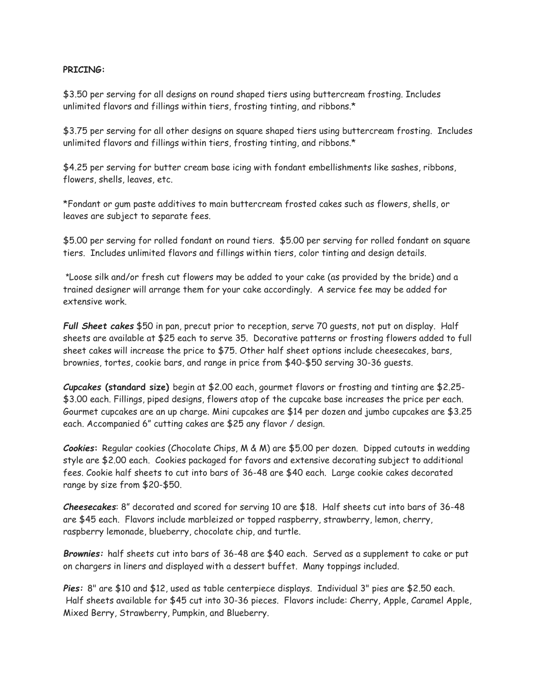## **PRICING:**

\$3.50 per serving for all designs on round shaped tiers using buttercream frosting. Includes unlimited flavors and fillings within tiers, frosting tinting, and ribbons.\*

\$3.75 per serving for all other designs on square shaped tiers using buttercream frosting. Includes unlimited flavors and fillings within tiers, frosting tinting, and ribbons.\*

\$4.25 per serving for butter cream base icing with fondant embellishments like sashes, ribbons, flowers, shells, leaves, etc.

\*Fondant or gum paste additives to main buttercream frosted cakes such as flowers, shells, or leaves are subject to separate fees.

\$5.00 per serving for rolled fondant on round tiers. \$5.00 per serving for rolled fondant on square tiers. Includes unlimited flavors and fillings within tiers, color tinting and design details.

**\***Loose silk and/or fresh cut flowers may be added to your cake (as provided by the bride) and a trained designer will arrange them for your cake accordingly. A service fee may be added for extensive work.

*Full Sheet cakes* \$50 in pan, precut prior to reception, serve 70 guests, not put on display. Half sheets are available at \$25 each to serve 35. Decorative patterns or frosting flowers added to full sheet cakes will increase the price to \$75. Other half sheet options include cheesecakes, bars, brownies, tortes, cookie bars, and range in price from \$40-\$50 serving 30-36 guests.

*Cupcakes* **(standard size)** begin at \$2.00 each, gourmet flavors or frosting and tinting are \$2.25- \$3.00 each. Fillings, piped designs, flowers atop of the cupcake base increases the price per each. Gourmet cupcakes are an up charge. Mini cupcakes are \$14 per dozen and jumbo cupcakes are \$3.25 each. Accompanied 6" cutting cakes are \$25 any flavor / design.

*Cookies***:** Regular cookies (Chocolate Chips, M & M) are \$5.00 per dozen. Dipped cutouts in wedding style are \$2.00 each. Cookies packaged for favors and extensive decorating subject to additional fees. Cookie half sheets to cut into bars of 36-48 are \$40 each. Large cookie cakes decorated range by size from \$20-\$50.

*Cheesecakes*: 8" decorated and scored for serving 10 are \$18. Half sheets cut into bars of 36-48 are \$45 each. Flavors include marbleized or topped raspberry, strawberry, lemon, cherry, raspberry lemonade, blueberry, chocolate chip, and turtle.

*Brownies:* half sheets cut into bars of 36-48 are \$40 each. Served as a supplement to cake or put on chargers in liners and displayed with a dessert buffet. Many toppings included.

*Pies:* 8" are \$10 and \$12, used as table centerpiece displays. Individual 3" pies are \$2.50 each. Half sheets available for \$45 cut into 30-36 pieces. Flavors include: Cherry, Apple, Caramel Apple, Mixed Berry, Strawberry, Pumpkin, and Blueberry.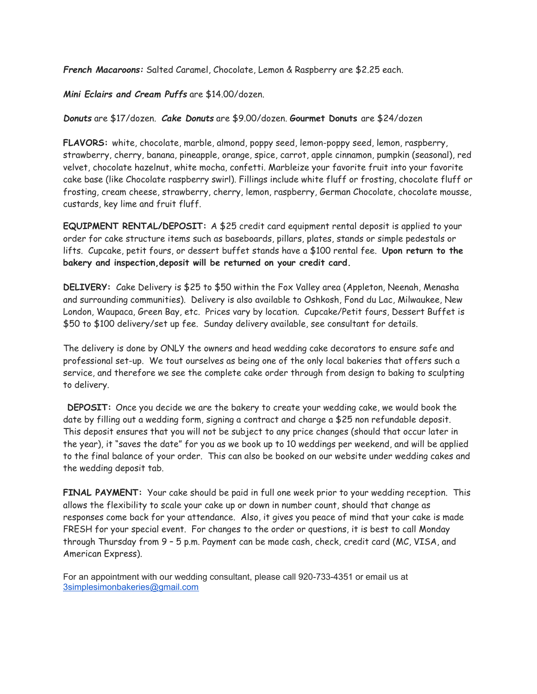*French Macaroons:* Salted Caramel, Chocolate, Lemon & Raspberry are \$2.25 each.

*Mini Eclairs and Cream Puffs* are \$14.00/dozen.

*Donuts* are \$17/dozen. *Cake Donuts* are \$9.00/dozen. **Gourmet Donuts** are \$24/dozen

**FLAVORS:** white, chocolate, marble, almond, poppy seed, lemon-poppy seed, lemon, raspberry, strawberry, cherry, banana, pineapple, orange, spice, carrot, apple cinnamon, pumpkin (seasonal), red velvet, chocolate hazelnut, white mocha, confetti. Marbleize your favorite fruit into your favorite cake base (like Chocolate raspberry swirl). Fillings include white fluff or frosting, chocolate fluff or frosting, cream cheese, strawberry, cherry, lemon, raspberry, German Chocolate, chocolate mousse, custards, key lime and fruit fluff.

**EQUIPMENT RENTAL/DEPOSIT:** A \$25 credit card equipment rental deposit is applied to your order for cake structure items such as baseboards, pillars, plates, stands or simple pedestals or lifts. Cupcake, petit fours, or dessert buffet stands have a \$100 rental fee. **Upon return to the bakery and inspection,deposit will be returned on your credit card.**

**DELIVERY:** Cake Delivery is \$25 to \$50 within the Fox Valley area (Appleton, Neenah, Menasha and surrounding communities). Delivery is also available to Oshkosh, Fond du Lac, Milwaukee, New London, Waupaca, Green Bay, etc. Prices vary by location. Cupcake/Petit fours, Dessert Buffet is \$50 to \$100 delivery/set up fee. Sunday delivery available, see consultant for details.

The delivery is done by ONLY the owners and head wedding cake decorators to ensure safe and professional set-up. We tout ourselves as being one of the only local bakeries that offers such a service, and therefore we see the complete cake order through from design to baking to sculpting to delivery.

**DEPOSIT:** Once you decide we are the bakery to create your wedding cake, we would book the date by filling out a wedding form, signing a contract and charge a \$25 non refundable deposit. This deposit ensures that you will not be subject to any price changes (should that occur later in the year), it "saves the date" for you as we book up to 10 weddings per weekend, and will be applied to the final balance of your order. This can also be booked on our website under wedding cakes and the wedding deposit tab.

**FINAL PAYMENT:** Your cake should be paid in full one week prior to your wedding reception. This allows the flexibility to scale your cake up or down in number count, should that change as responses come back for your attendance. Also, it gives you peace of mind that your cake is made FRESH for your special event. For changes to the order or questions, it is best to call Monday through Thursday from 9 – 5 p.m. Payment can be made cash, check, credit card (MC, VISA, and American Express).

For an appointment with our wedding consultant, please call 920-733-4351 or email us at [3simplesimonbakeries@gmail.com](mailto:3simplesimonbakeries@gmail.com)